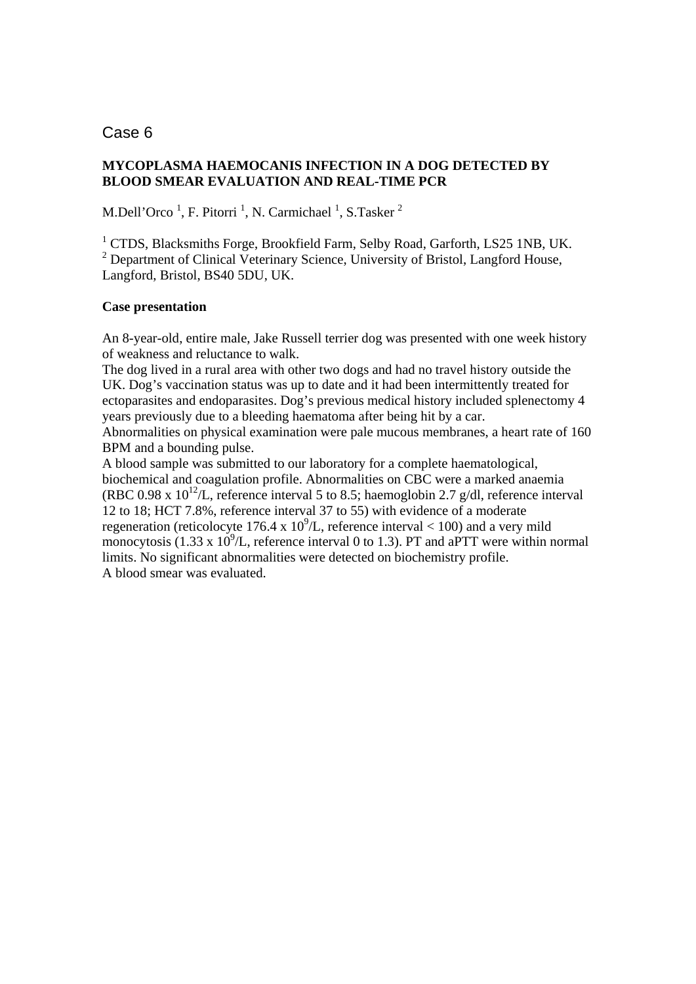# Case 6

## **MYCOPLASMA HAEMOCANIS INFECTION IN A DOG DETECTED BY BLOOD SMEAR EVALUATION AND REAL-TIME PCR**

M.Dell'Orco<sup>1</sup>, F. Pitorri<sup>1</sup>, N. Carmichael<sup>1</sup>, S.Tasker<sup>2</sup>

<sup>1</sup> CTDS, Blacksmiths Forge, Brookfield Farm, Selby Road, Garforth, LS25 1NB, UK. <sup>2</sup> Department of Clinical Veterinary Science, University of Bristol, Langford House, Langford, Bristol, BS40 5DU, UK.

### **Case presentation**

An 8-year-old, entire male, Jake Russell terrier dog was presented with one week history of weakness and reluctance to walk.

The dog lived in a rural area with other two dogs and had no travel history outside the UK. Dog's vaccination status was up to date and it had been intermittently treated for ectoparasites and endoparasites. Dog's previous medical history included splenectomy 4 years previously due to a bleeding haematoma after being hit by a car.

Abnormalities on physical examination were pale mucous membranes, a heart rate of 160 BPM and a bounding pulse.

A blood sample was submitted to our laboratory for a complete haematological, biochemical and coagulation profile. Abnormalities on CBC were a marked anaemia (RBC 0.98 x  $10^{12}$ /L, reference interval 5 to 8.5; haemoglobin 2.7 g/dl, reference interval 12 to 18; HCT 7.8%, reference interval 37 to 55) with evidence of a moderate regeneration (reticolocyte 176.4 x  $10^9$ /L, reference interval < 100) and a very mild monocytosis (1.33 x  $10^9$ /L, reference interval 0 to 1.3). PT and aPTT were within normal limits. No significant abnormalities were detected on biochemistry profile. A blood smear was evaluated.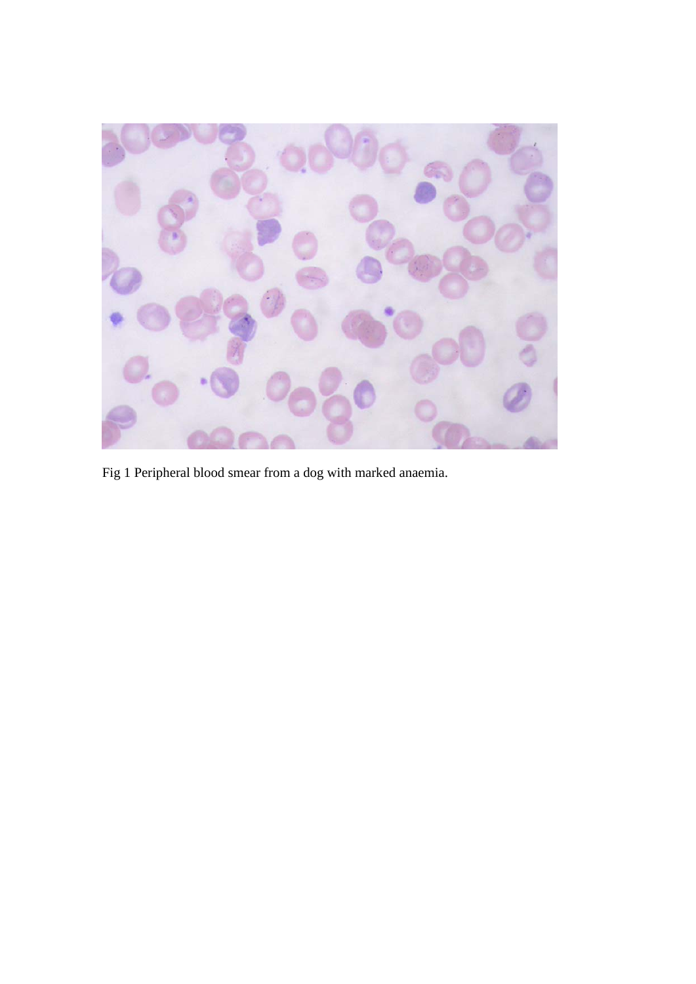

Fig 1 Peripheral blood smear from a dog with marked anaemia.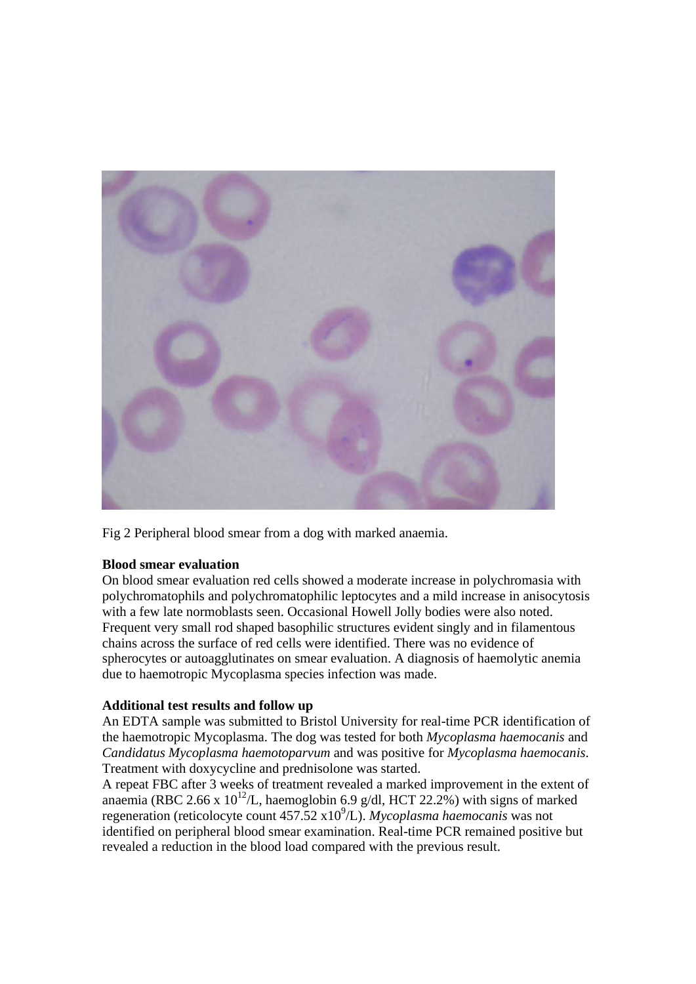

Fig 2 Peripheral blood smear from a dog with marked anaemia.

### **Blood smear evaluation**

On blood smear evaluation red cells showed a moderate increase in polychromasia with polychromatophils and polychromatophilic leptocytes and a mild increase in anisocytosis with a few late normoblasts seen. Occasional Howell Jolly bodies were also noted. Frequent very small rod shaped basophilic structures evident singly and in filamentous chains across the surface of red cells were identified. There was no evidence of spherocytes or autoagglutinates on smear evaluation. A diagnosis of haemolytic anemia due to haemotropic Mycoplasma species infection was made.

### **Additional test results and follow up**

An EDTA sample was submitted to Bristol University for real-time PCR identification of the haemotropic Mycoplasma. The dog was tested for both *Mycoplasma haemocanis* and *Candidatus Mycoplasma haemotoparvum* and was positive for *Mycoplasma haemocanis*. Treatment with doxycycline and prednisolone was started.

A repeat FBC after 3 weeks of treatment revealed a marked improvement in the extent of anaemia (RBC 2.66 x  $10^{12}$ /L, haemoglobin 6.9 g/dl, HCT 22.2%) with signs of marked regeneration (reticolocyte count 457.52 x10<sup>9</sup>/L). *Mycoplasma haemocanis* was not identified on peripheral blood smear examination. Real-time PCR remained positive but revealed a reduction in the blood load compared with the previous result.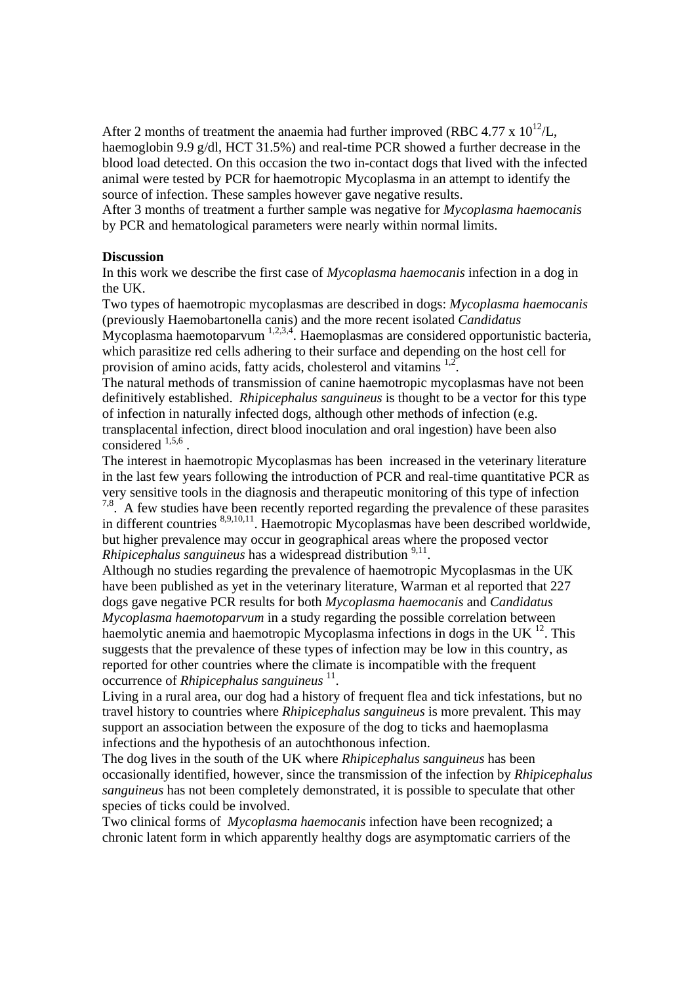After 2 months of treatment the anaemia had further improved (RBC 4.77 x  $10^{12}$ /L, haemoglobin 9.9 g/dl, HCT 31.5%) and real-time PCR showed a further decrease in the blood load detected. On this occasion the two in-contact dogs that lived with the infected animal were tested by PCR for haemotropic Mycoplasma in an attempt to identify the source of infection. These samples however gave negative results.

After 3 months of treatment a further sample was negative for *Mycoplasma haemocanis* by PCR and hematological parameters were nearly within normal limits.

#### **Discussion**

In this work we describe the first case of *Mycoplasma haemocanis* infection in a dog in the UK.

Two types of haemotropic mycoplasmas are described in dogs: *Mycoplasma haemocanis* (previously Haemobartonella canis) and the more recent isolated *Candidatus* Mycoplasma haemotoparvum <sup>1,2,3,4</sup>. Haemoplasmas are considered opportunistic bacteria, which parasitize red cells adhering to their surface and depending on the host cell for

provision of amino acids, fatty acids, cholesterol and vitamins  $1.2$ .

The natural methods of transmission of canine haemotropic mycoplasmas have not been definitively established. *Rhipicephalus sanguineus* is thought to be a vector for this type of infection in naturally infected dogs, although other methods of infection (e.g. transplacental infection, direct blood inoculation and oral ingestion) have been also  $\arctan \arctan 1,5,6$ 

The interest in haemotropic Mycoplasmas has been increased in the veterinary literature in the last few years following the introduction of PCR and real-time quantitative PCR as very sensitive tools in the diagnosis and therapeutic monitoring of this type of infection  $7.8<sup>7,8</sup>$ . A few studies have been recently reported regarding the prevalence of these parasites in different countries 8,9,10,11. Haemotropic Mycoplasmas have been described worldwide,

but higher prevalence may occur in geographical areas where the proposed vector *Rhipicephalus sanguineus* has a widespread distribution <sup>9,11</sup>.

Although no studies regarding the prevalence of haemotropic Mycoplasmas in the UK have been published as yet in the veterinary literature, Warman et al reported that 227 dogs gave negative PCR results for both *Mycoplasma haemocanis* and *Candidatus Mycoplasma haemotoparvum* in a study regarding the possible correlation between haemolytic anemia and haemotropic Mycoplasma infections in dogs in the UK  $^{12}$ . This suggests that the prevalence of these types of infection may be low in this country, as reported for other countries where the climate is incompatible with the frequent occurrence of *Rhipicephalus sanguineus*<sup>11</sup>.

Living in a rural area, our dog had a history of frequent flea and tick infestations, but no travel history to countries where *Rhipicephalus sanguineus* is more prevalent. This may support an association between the exposure of the dog to ticks and haemoplasma infections and the hypothesis of an autochthonous infection.

The dog lives in the south of the UK where *Rhipicephalus sanguineus* has been occasionally identified, however, since the transmission of the infection by *Rhipicephalus sanguineus* has not been completely demonstrated, it is possible to speculate that other species of ticks could be involved.

Two clinical forms of *Mycoplasma haemocanis* infection have been recognized; a chronic latent form in which apparently healthy dogs are asymptomatic carriers of the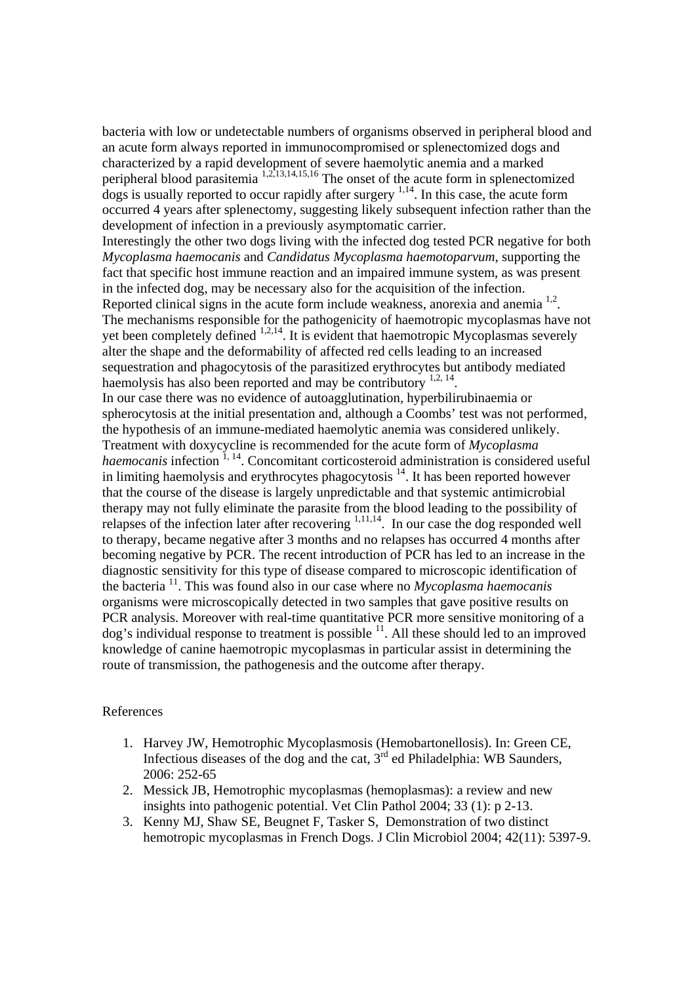bacteria with low or undetectable numbers of organisms observed in peripheral blood and an acute form always reported in immunocompromised or splenectomized dogs and characterized by a rapid development of severe haemolytic anemia and a marked peripheral blood parasitemia <sup>1,2,13,14,15,16</sup> The onset of the acute form in splenectomized  $\frac{1}{4}$  dogs is usually reported to occur rapidly after surgery  $\frac{1}{4}$ . In this case, the acute form occurred 4 years after splenectomy, suggesting likely subsequent infection rather than the development of infection in a previously asymptomatic carrier.

Interestingly the other two dogs living with the infected dog tested PCR negative for both *Mycoplasma haemocanis* and *Candidatus Mycoplasma haemotoparvum*, supporting the fact that specific host immune reaction and an impaired immune system, as was present in the infected dog, may be necessary also for the acquisition of the infection. Reported clinical signs in the acute form include weakness, anorexia and anemia <sup>1,2</sup>. The mechanisms responsible for the pathogenicity of haemotropic mycoplasmas have not yet been completely defined  $1,2,14$ . It is evident that haemotropic Mycoplasmas severely alter the shape and the deformability of affected red cells leading to an increased sequestration and phagocytosis of the parasitized erythrocytes but antibody mediated haemolysis has also been reported and may be contributory  $1,2, 14$ .

In our case there was no evidence of autoagglutination, hyperbilirubinaemia or spherocytosis at the initial presentation and, although a Coombs' test was not performed, the hypothesis of an immune-mediated haemolytic anemia was considered unlikely. Treatment with doxycycline is recommended for the acute form of *Mycoplasma haemocanis* infection <sup>1, 14</sup>. Concomitant corticosteroid administration is considered useful in limiting haemolysis and erythrocytes phagocytosis  $14$ . It has been reported however that the course of the disease is largely unpredictable and that systemic antimicrobial therapy may not fully eliminate the parasite from the blood leading to the possibility of relapses of the infection later after recovering  $1,11,14$ . In our case the dog responded well to therapy, became negative after 3 months and no relapses has occurred 4 months after becoming negative by PCR. The recent introduction of PCR has led to an increase in the diagnostic sensitivity for this type of disease compared to microscopic identification of the bacteria 11. This was found also in our case where no *Mycoplasma haemocanis* organisms were microscopically detected in two samples that gave positive results on PCR analysis. Moreover with real-time quantitative PCR more sensitive monitoring of a  $\log$ 's individual response to treatment is possible  $^{11}$ . All these should led to an improved knowledge of canine haemotropic mycoplasmas in particular assist in determining the route of transmission, the pathogenesis and the outcome after therapy.

#### References

- 1. Harvey JW, Hemotrophic Mycoplasmosis (Hemobartonellosis). In: Green CE, Infectious diseases of the dog and the cat,  $3<sup>rd</sup>$  ed Philadelphia: WB Saunders, 2006: 252-65
- 2. Messick JB, Hemotrophic mycoplasmas (hemoplasmas): a review and new insights into pathogenic potential. Vet Clin Pathol 2004; 33 (1): p 2-13.
- 3. Kenny MJ, Shaw SE, Beugnet F, Tasker S, Demonstration of two distinct hemotropic mycoplasmas in French Dogs. J Clin Microbiol 2004; 42(11): 5397-9.